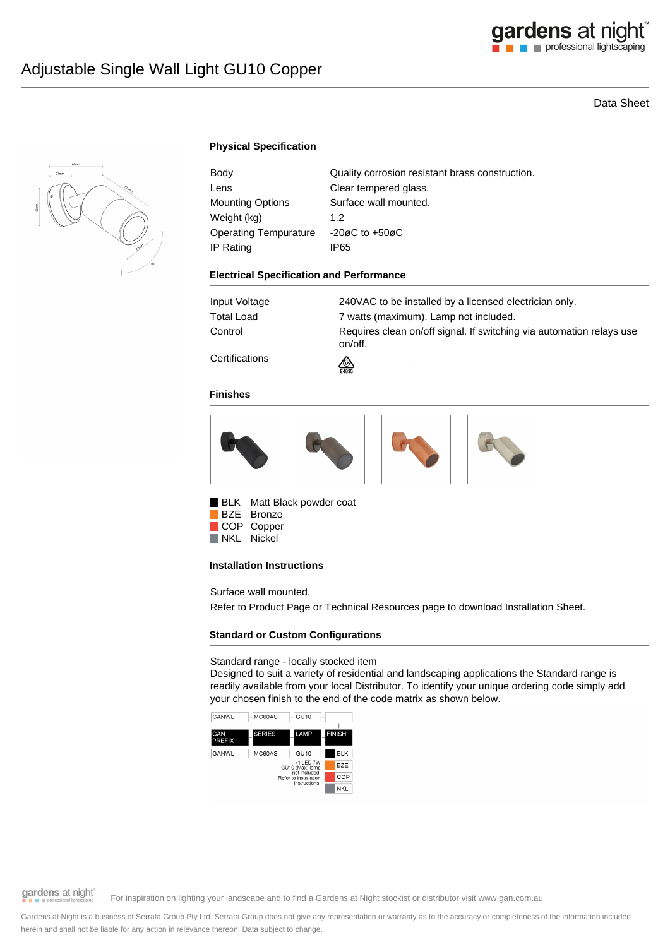

# Data Sheet



### **Physical Specification**

| Body                    | Quality corrosion resistant brass construction. |
|-------------------------|-------------------------------------------------|
| Lens                    | Clear tempered glass.                           |
| <b>Mounting Options</b> | Surface wall mounted.                           |
| Weight (kg)             | 1.2 <sub>2</sub>                                |
| Operating Tempurature   | -20øC to $+50$ øC                               |
| IP Rating               | IP65                                            |

#### **Electrical Specification and Performance**

| Input Voltage                   | 240VAC to be installed by a licensed electrician only.                          |
|---------------------------------|---------------------------------------------------------------------------------|
|                                 |                                                                                 |
| Total Load                      | 7 watts (maximum). Lamp not included.                                           |
| Control                         | Requires clean on/off signal. If switching via automation relays use<br>on/off. |
| <b>A</b> - -- - - - - - - - - - |                                                                                 |

**Certifications** 



⚠

#### **Finishes**



BLK Matt Black powder coat BZE Bronze COP Copper

NKL Nickel

### **Installation Instructions**

Surface wall mounted.

Refer to Product Page or Technical Resources page to download Installation Sheet.

# **Standard or Custom Configurations**

#### Standard range - locally stocked item

Designed to suit a variety of residential and landscaping applications the Standard range is readily available from your local Distributor. To identify your unique ordering code simply add your chosen finish to the end of the code matrix as shown below.



gardens at night

For inspiration on lighting your landscape and to find a Gardens at Night stockist or distributor visit www.gan.com.au

Gardens at Night is a business of Serrata Group Pty Ltd. Serrata Group does not give any representation or warranty as to the accuracy or completeness of the information included herein and shall not be liable for any action in relevance thereon. Data subject to change.